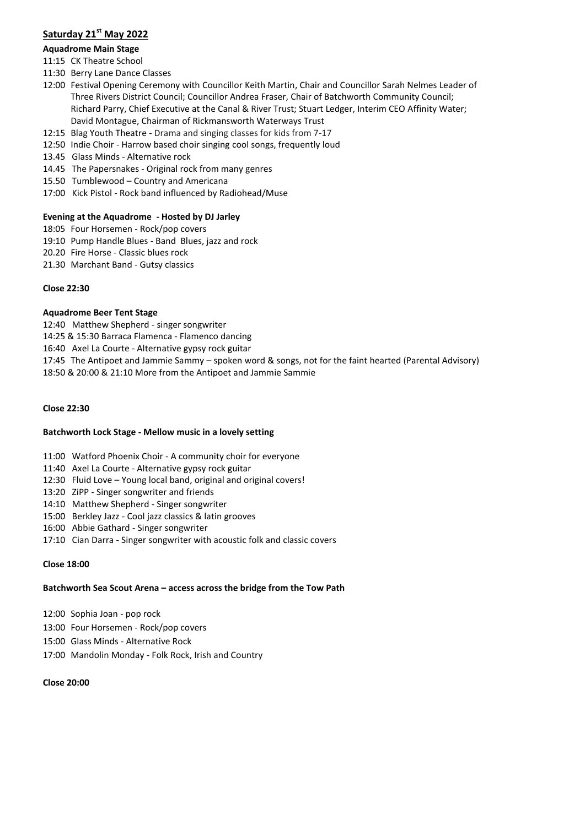# **Saturday 21st May 2022**

# **Aquadrome Main Stage**

- 11:15 CK Theatre School
- 11:30 Berry Lane Dance Classes
- 12:00 Festival Opening Ceremony with Councillor Keith Martin, Chair and Councillor Sarah Nelmes Leader of Three Rivers District Council; Councillor Andrea Fraser, Chair of Batchworth Community Council; Richard Parry, Chief Executive at the Canal & River Trust; Stuart Ledger, Interim CEO Affinity Water; David Montague, Chairman of Rickmansworth Waterways Trust
- 12:15 Blag Youth Theatre Drama and singing classes for kids from 7-17
- 12:50 Indie Choir Harrow based choir singing cool songs, frequently loud
- 13.45 Glass Minds Alternative rock
- 14.45 The Papersnakes Original rock from many genres
- 15.50 Tumblewood Country and Americana
- 17:00 Kick Pistol Rock band influenced by Radiohead/Muse

### **Evening at the Aquadrome - Hosted by DJ Jarley**

- 18:05 Four Horsemen Rock/pop covers
- 19:10 Pump Handle Blues Band Blues, jazz and rock
- 20.20 Fire Horse Classic blues rock
- 21.30 Marchant Band Gutsy classics

### **Close 22:30**

### **Aquadrome Beer Tent Stage**

- 12:40 Matthew Shepherd singer songwriter
- 14:25 & 15:30 Barraca Flamenca Flamenco dancing
- 16:40 Axel La Courte Alternative gypsy rock guitar
- 17:45 The Antipoet and Jammie Sammy spoken word & songs, not for the faint hearted (Parental Advisory)
- 18:50 & 20:00 & 21:10 More from the Antipoet and Jammie Sammie

### **Close 22:30**

# **Batchworth Lock Stage - Mellow music in a lovely setting**

- 11:00 Watford Phoenix Choir A community choir for everyone
- 11:40 Axel La Courte Alternative gypsy rock guitar
- 12:30 Fluid Love Young local band, original and original covers!
- 13:20 ZiPP Singer songwriter and friends
- 14:10 Matthew Shepherd Singer songwriter
- 15:00 Berkley Jazz Cool jazz classics & latin grooves
- 16:00 Abbie Gathard Singer songwriter
- 17:10 Cian Darra Singer songwriter with acoustic folk and classic covers

### **Close 18:00**

# **Batchworth Sea Scout Arena – access across the bridge from the Tow Path**

- 12:00 Sophia Joan pop rock
- 13:00 Four Horsemen Rock/pop covers
- 15:00 Glass Minds Alternative Rock
- 17:00 Mandolin Monday Folk Rock, Irish and Country

### **Close 20:00**